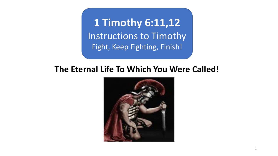**1 Timothy 6:11,12** Instructions to Timothy Fight, Keep Fighting, Finish!

## **The Eternal Life To Which You Were Called!**

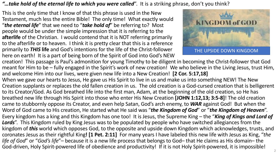## *"…take hold of the eternal life to which you were called*". It is a striking phrase, don't you think?

This is the only time that I know of that this phrase is used in the New Testament, much less the entire Bible! The only time! What exactly would "*the eternal life*" that we need to "*take hold of*" be referring to? Most people would be under the simple impression that it is referring to the **afterlife** of the Christian. I would contend that it is NOT referring primarily to the afterlife or to heaven. I think it is pretty clear that this is a reference primarily to *THIS* **life** and God's intentions for the life of the Christ-follower here on earth! It is a part of being born of the Spirit of God into God's NEW



creation! This passage is Paul's admonition for young Timothy to be diligent in becoming the Christ-follower that God meant for Him to be – fully engaged in the Spirit's work of new creation! We who believe in the Living Jesus, trust Him, and welcome Him into our lives, were given new life into a New Creation! **[2 Cor. 5:17,18]** 

When we gave our hearts to Jesus, He gave us His Spirit to live in us and make us into something NEW! The New Creation supplants or replaces the old fallen creation in us. The old creation is a God-cursed creation that is belligerent to its Creator/God. As God breathed life into the first man, Adam, at the beginning of the old creation, so He has breathed new life through His Spirit into those who enter His New Creation **[JOHN 1:12,13; 3:5-8]**! The old creation came to stubbornly oppose its Creator, and even help Satan, God's arch enemy, to *WAR* against God! But when the Word of God came to His creation, He started what He said was "*the Kingdom of God*" or "*the Kingdom of Heaven*". Every kingdom has a king and this Kingdom has one too! It is Jesus, the Supreme King – the "*King of Kings and Lord of Lords*". This Kingdom ruled by King Jesus was to be populated by people who have switched allegiances from the kingdom of *this* world which opposes God, to the opposite and upside down Kingdom which acknowledges, trusts, and coronates Jesus as their rightful King**! [1 Pet. 2:11]** For many years I have labeled this new life with Jesus as King, "*the life of God*" or "*God's life*"– because it is a new life process that belongs to God– that He claims as His domain– the God-driven, Holy Spirit-powered life of obedience and productivity! If it is not Holy Spirit-powered, it is impossible!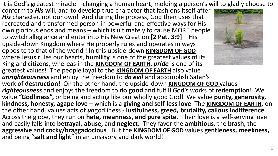It is God's greatest miracle – changing a human heart, molding a person's will to gladly choose to

conform to *His* will, and to develop true character that fashions itself after *His* character, not our own! And during the process, God then uses that recreated and transformed person in powerful and effective ways for His own glorious ends and means – which is ultimately to cause MORE people to switch allegiance and enter into His New Creation **[2 Pet. 3:9]** – His upside-down Kingdom where He properly rules and operates in ways opposite to that of the world ! In this upside-down **KINGDOM OF GOD** where Jesus rules our hearts, **humility** is one of the greatest values of its King and citizens, whereas in the **KINGDOM OF EARTH**, *pride* is one of its greatest values! The people loyal to the **KINGDOM OF EARTH** also value *unrighteousness* and enjoy the freedom to *do evil* and accomplish Satan's work of **destruction!** On the other hand, the upside-down **KINGDOM OF GOD** values *righteousness* and enjoys the freedom to **do good** and fulfill God's works of **redemption!** We value **"Godliness",** or being and acting like our wholly good God! We value **purity, generosity, kindness, honesty, agape love** – which is a **giving and self-less love**. The **KINGDOM OF EARTH**, on the other hand, values acts of *un*godliness - **lustfulness, greed, brutality, callous indifference**. Across the globe, they run on **hate, meanness, and pure spite**. Their love is a self-serving love and easily falls into **betrayal, abuse,** and **neglect**. They favor the **ambitious**, the **brash**, the **aggressive** and **cocky/braggadocious**. But the **KINGDOM OF GOD** values **gentleness, meekness,**  and being "**salt and light**" in an unsavory and dark world!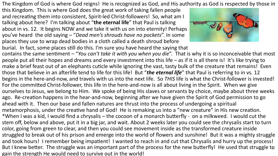The Kingdom of God is where God reigns! He is recognized as God, and His authority as God is respected by those in

this Kingdom. This is where God does the great work of taking fallen people and recreating them into consistent, Spirit-led Christ-followers! So, what am I talking about here? I'm talking about "**the eternal life**" that Paul is talking about in vs. 12. It begins NOW and we take it with us on into eternity! Perhaps you've heard the old saying – "*Dead men's shrouds have no pockets*". In some places they use to wrap dead bodies in a cloth called a death shroud before



burial. In fact, some places still do this. I'm sure you have heard the saying that contains the same sentiment – "*You can't take it with you when you die"*. That is why it is so inconceivable that most people put all their hopes and dreams and every investment into this life – as if it is all there is! It's like trying to make a brief feast out of an elephants cuticle while ignoring the vast, tasty bulk of the creature that remains! Even those that believe in an afterlife tend to life for this life! But "the eternal life" that Paul is referring to in vs. 12 begins in the here-and-now, and travels with us into the next life. So *THIS* life is what the Christ-follower is invested! For the committed Christ-follower, this life in the here-and-now is all about living in the Spirit. When we give ourselves to Jesus, we belong to Him. We spoke of being His slaves or servants by choice, maybe about three weeks ago. Re-creation happens in the hear-and-now, beginning after we have given the Spirit of God permission to go ahead with it. Then our base and fallen natures are thrust into the process of undergoing a spiritual metamorphosis, under the creative hand of God! He is remaking us into a "new creature" in His new creation. \*When I was a kid, I would find a chrysalis – the cocoon of a monarch butterfly - on a milkweed. I would cut the stem off, below and above, put it in a big jar, and wait. About 2 weeks later you could see the chrysalis start to turn color, going from green to clear, and then you could see movement inside as the transformed creature inside struggled to break out of his prison and emerge into the world of flowers and sunshine! But it was a mighty struggle and took hours! I remember being impatient! I wanted to reach in and cut that Chrysalis and hurry up the process! But I knew better. The struggle was an important part of the process for the new butterfly! He used that struggle to gain the strength He would need to survive out in the world!